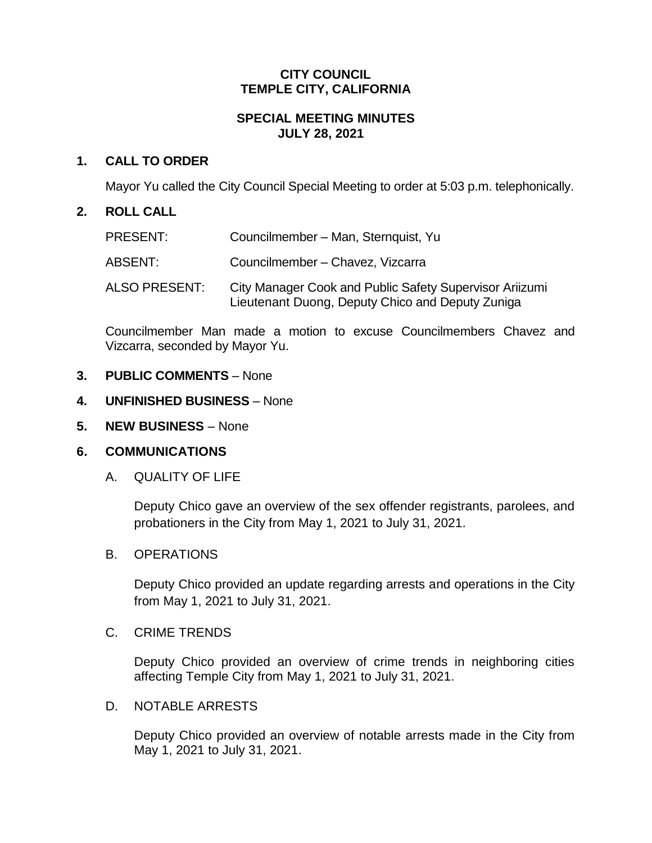## **CITY COUNCIL TEMPLE CITY, CALIFORNIA**

# **SPECIAL MEETING MINUTES JULY 28, 2021**

# **1. CALL TO ORDER**

Mayor Yu called the City Council Special Meeting to order at 5:03 p.m. telephonically.

## **2. ROLL CALL**

| PRESENT:      | Councilmember - Man, Sternquist, Yu                                                                         |
|---------------|-------------------------------------------------------------------------------------------------------------|
| ABSENT:       | Councilmember - Chavez, Vizcarra                                                                            |
| ALSO PRESENT: | City Manager Cook and Public Safety Supervisor Ariizumi<br>Lieutenant Duong, Deputy Chico and Deputy Zuniga |

Councilmember Man made a motion to excuse Councilmembers Chavez and Vizcarra, seconded by Mayor Yu.

## **3. PUBLIC COMMENTS** – None

- **4. UNFINISHED BUSINESS** None
- **5. NEW BUSINESS** None

## **6. COMMUNICATIONS**

## A. QUALITY OF LIFE

Deputy Chico gave an overview of the sex offender registrants, parolees, and probationers in the City from May 1, 2021 to July 31, 2021.

#### B. OPERATIONS

Deputy Chico provided an update regarding arrests and operations in the City from May 1, 2021 to July 31, 2021.

#### C. CRIME TRENDS

Deputy Chico provided an overview of crime trends in neighboring cities affecting Temple City from May 1, 2021 to July 31, 2021.

## D. NOTABLE ARRESTS

Deputy Chico provided an overview of notable arrests made in the City from May 1, 2021 to July 31, 2021.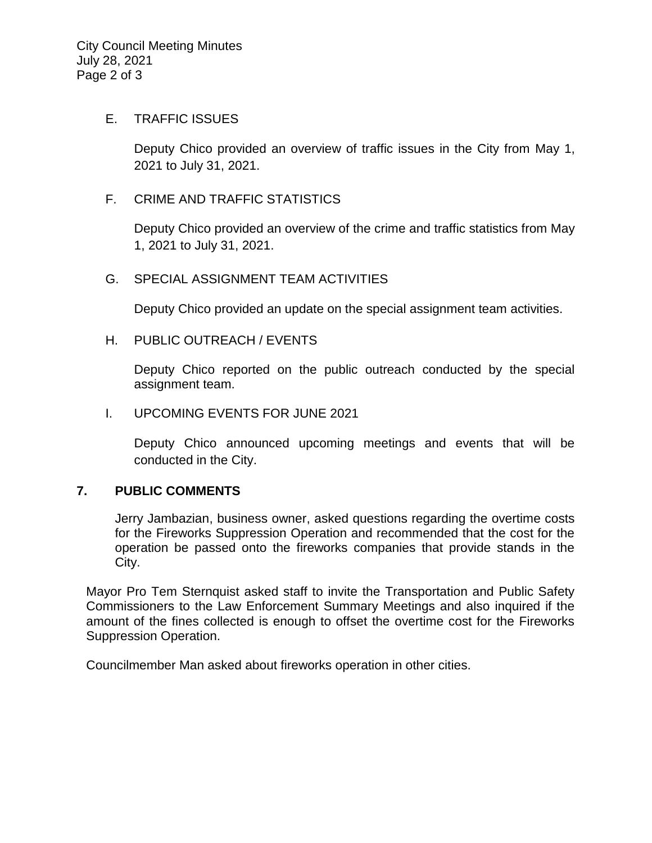#### E. TRAFFIC ISSUES

Deputy Chico provided an overview of traffic issues in the City from May 1, 2021 to July 31, 2021.

## F. CRIME AND TRAFFIC STATISTICS

Deputy Chico provided an overview of the crime and traffic statistics from May 1, 2021 to July 31, 2021.

## G. SPECIAL ASSIGNMENT TEAM ACTIVITIES

Deputy Chico provided an update on the special assignment team activities.

#### H. PUBLIC OUTREACH / EVENTS

Deputy Chico reported on the public outreach conducted by the special assignment team.

#### I. UPCOMING EVENTS FOR JUNE 2021

Deputy Chico announced upcoming meetings and events that will be conducted in the City.

## **7. PUBLIC COMMENTS**

Jerry Jambazian, business owner, asked questions regarding the overtime costs for the Fireworks Suppression Operation and recommended that the cost for the operation be passed onto the fireworks companies that provide stands in the City.

Mayor Pro Tem Sternquist asked staff to invite the Transportation and Public Safety Commissioners to the Law Enforcement Summary Meetings and also inquired if the amount of the fines collected is enough to offset the overtime cost for the Fireworks Suppression Operation.

Councilmember Man asked about fireworks operation in other cities.